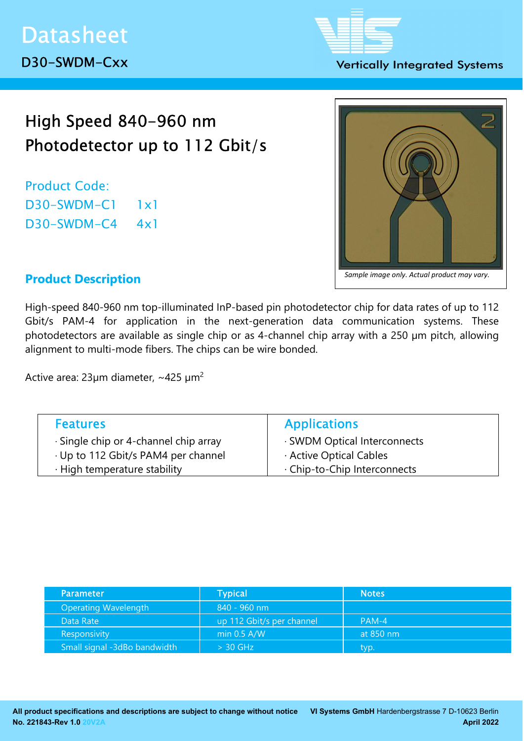#### **Vertically Integrated Systems**

# High Speed 840-960 nm Photodetector up to 112 Gbit/s

Product Code: D30-SWDM-C1 1x1 D30-SWDM-C4 4x1



## Product Description

High-speed 840-960 nm top-illuminated InP-based pin photodetector chip for data rates of up to 112 Gbit/s PAM-4 for application in the next-generation data communication systems. These photodetectors are available as single chip or as 4-channel chip array with a 250 µm pitch, allowing alignment to multi-mode fibers. The chips can be wire bonded.

Active area:  $23 \mu m$  diameter, ~425  $\mu m^2$ 

| <b>Features</b>                             | <b>Applications</b>          |
|---------------------------------------------|------------------------------|
| $\cdot$ Single chip or 4-channel chip array | · SWDM Optical Interconnects |
| · Up to 112 Gbit/s PAM4 per channel         | Active Optical Cables        |
| · High temperature stability                | . Chip-to-Chip Interconnects |

| <b>Parameter</b>             | <b>Typical</b>            | <b>Notes</b> ' |
|------------------------------|---------------------------|----------------|
| <b>Operating Wavelength</b>  | 840 - 960 nm              |                |
| Data Rate                    | up 112 Gbit/s per channel | $PAM-4$        |
| Responsivity                 | min $0.5$ A/W             | at 850 nm      |
| Small signal -3dBo bandwidth | $> 30$ GHz                | typ.           |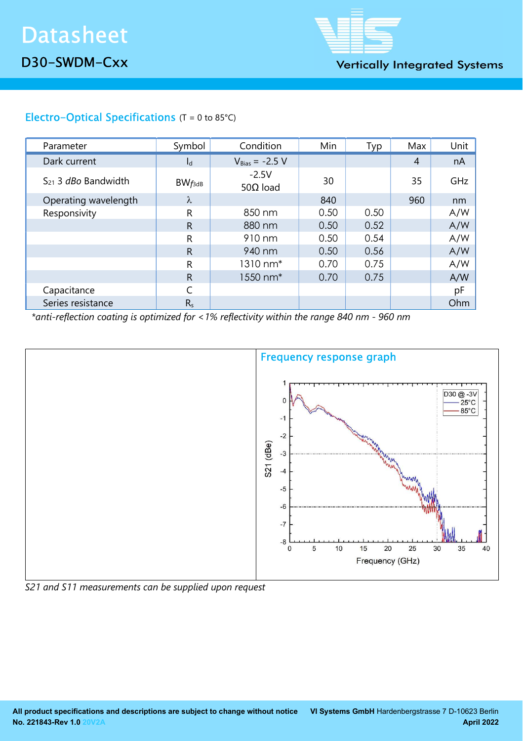

**Vertically Integrated Systems** 

## Electro-Optical Specifications (T = 0 to 85°C)

| Parameter                       | Symbol      | Condition                   | Min  | Typ  | Max            | Unit |
|---------------------------------|-------------|-----------------------------|------|------|----------------|------|
| Dark current                    | $I_d$       | $V_{Bias} = -2.5 V$         |      |      | $\overline{4}$ | nA   |
| $S_{21}$ 3 <i>dBo</i> Bandwidth | $BW_{f3dB}$ | $-2.5V$<br>50 $\Omega$ load | 30   |      | 35             | GHz  |
| Operating wavelength            | λ           |                             | 840  |      | 960            | nm   |
| Responsivity                    | R           | 850 nm                      | 0.50 | 0.50 |                | A/W  |
|                                 | R           | 880 nm                      | 0.50 | 0.52 |                | A/W  |
|                                 | R           | 910 nm                      | 0.50 | 0.54 |                | A/W  |
|                                 | R           | 940 nm                      | 0.50 | 0.56 |                | A/W  |
|                                 | R           | 1310 nm*                    | 0.70 | 0.75 |                | A/W  |
|                                 | R           | 1550 nm <sup>*</sup>        | 0.70 | 0.75 |                | A/W  |
| Capacitance                     |             |                             |      |      |                | pF   |
| Series resistance               | $R_{s}$     |                             |      |      |                | Ohm  |

\*anti-reflection coating is optimized for <1% reflectivity within the range 840 nm - 960 nm



S21 and S11 measurements can be supplied upon request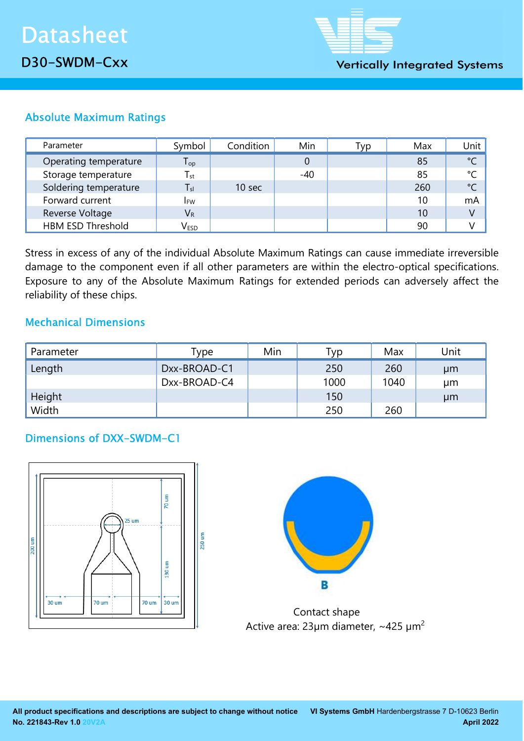

# Absolute Maximum Ratings

| Parameter                | Symbol                      | Condition         | Min   | Typ | Max | Unit          |
|--------------------------|-----------------------------|-------------------|-------|-----|-----|---------------|
| Operating temperature    | ${\mathsf T}_{\textsf{op}}$ |                   |       |     | 85  | $\degree$ C   |
| Storage temperature      | $T_{\rm st}$                |                   | $-40$ |     | 85  | °C            |
| Soldering temperature    | $T_{sl}$                    | 10 <sub>sec</sub> |       |     | 260 | $\mathcal{C}$ |
| Forward current          | <b>IFW</b>                  |                   |       |     | 10  | mA            |
| Reverse Voltage          | $V_{R}$                     |                   |       |     | 10  | V             |
| <b>HBM ESD Threshold</b> | V <sub>ESD</sub>            |                   |       |     | 90  |               |

Stress in excess of any of the individual Absolute Maximum Ratings can cause immediate irreversible damage to the component even if all other parameters are within the electro-optical specifications. Exposure to any of the Absolute Maximum Ratings for extended periods can adversely affect the reliability of these chips.

## Mechanical Dimensions

| Parameter | Type         | Min | Гур  | Max  | Unit |
|-----------|--------------|-----|------|------|------|
| Length    | Dxx-BROAD-C1 |     | 250  | 260  | µm   |
|           | Dxx-BROAD-C4 |     | 1000 | 1040 | μm   |
| Height    |              |     | 150  |      | µm   |
| Width     |              |     | 250  | 260  |      |

## Dimensions of DXX-SWDM-C1





 Contact shape Active area:  $23 \mu m$  diameter, ~425  $\mu m^2$